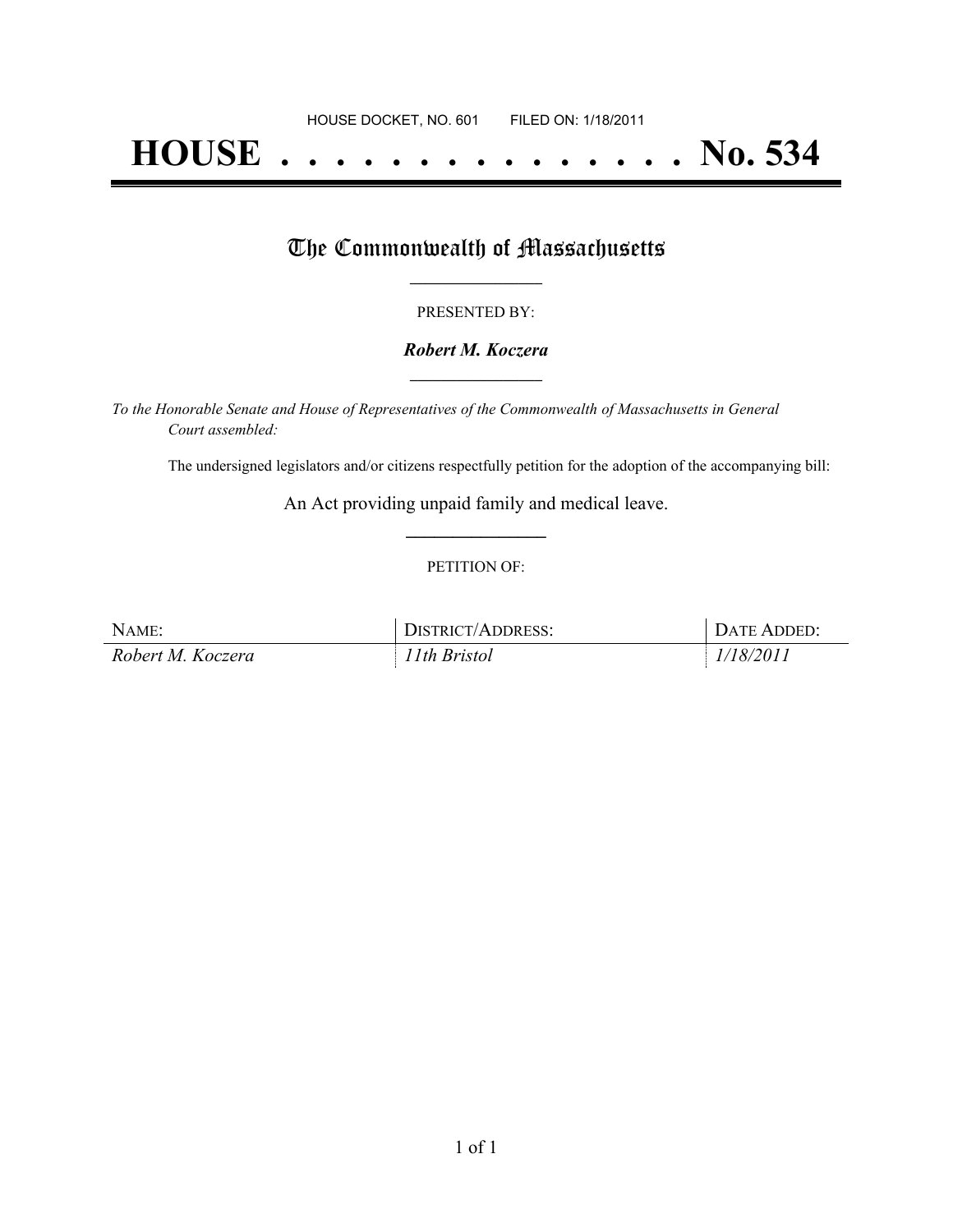# **HOUSE . . . . . . . . . . . . . . . No. 534**

## The Commonwealth of Massachusetts

#### PRESENTED BY:

#### *Robert M. Koczera* **\_\_\_\_\_\_\_\_\_\_\_\_\_\_\_\_\_**

*To the Honorable Senate and House of Representatives of the Commonwealth of Massachusetts in General Court assembled:*

The undersigned legislators and/or citizens respectfully petition for the adoption of the accompanying bill:

An Act providing unpaid family and medical leave. **\_\_\_\_\_\_\_\_\_\_\_\_\_\_\_**

#### PETITION OF:

| NAME:             | DISTRICT/ADDRESS: | . Date Added: . |
|-------------------|-------------------|-----------------|
| Robert M. Koczera | 11th Bristol      | 1/18/2011       |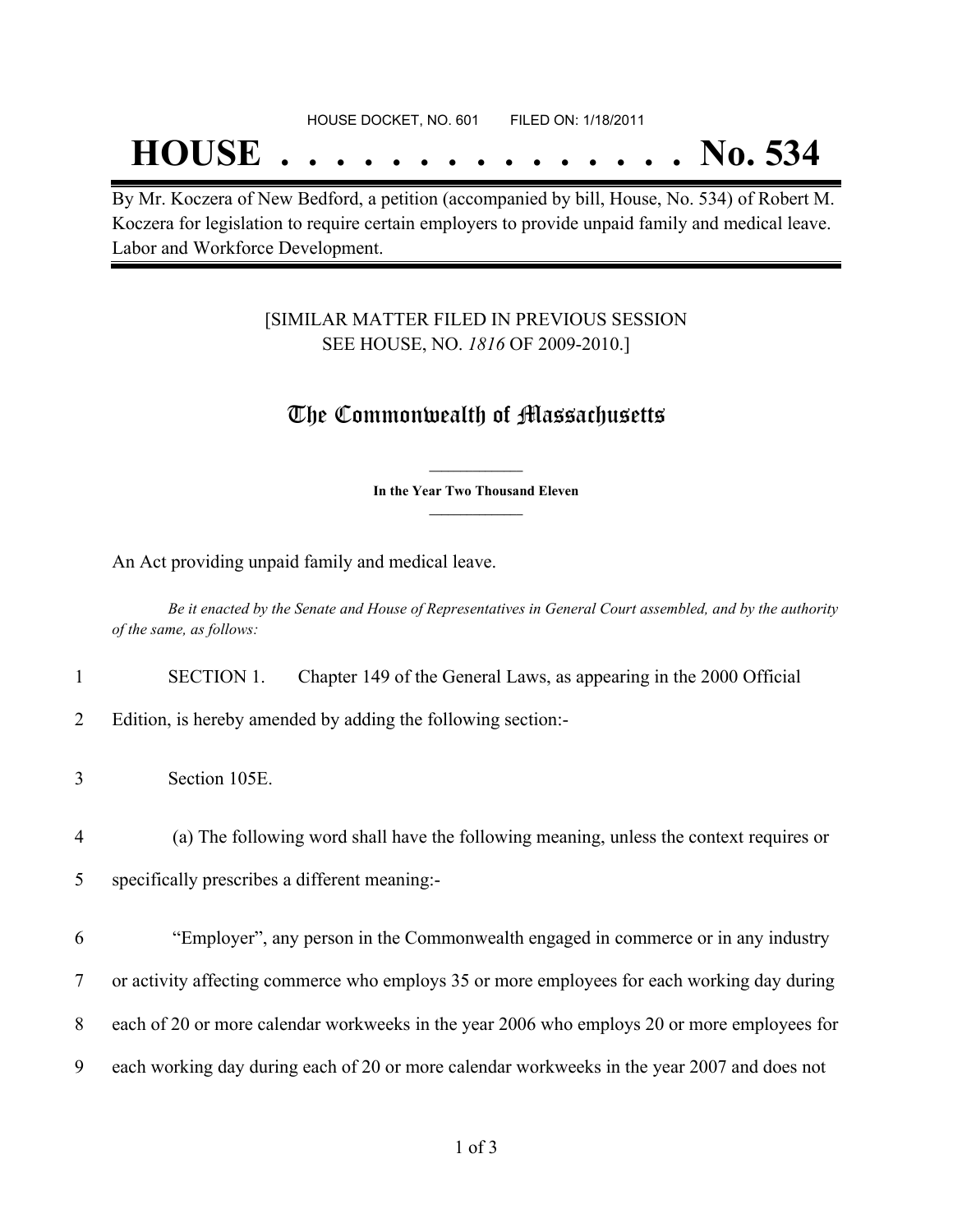## **HOUSE . . . . . . . . . . . . . . . No. 534**

By Mr. Koczera of New Bedford, a petition (accompanied by bill, House, No. 534) of Robert M. Koczera for legislation to require certain employers to provide unpaid family and medical leave. Labor and Workforce Development.

### [SIMILAR MATTER FILED IN PREVIOUS SESSION SEE HOUSE, NO. *1816* OF 2009-2010.]

## The Commonwealth of Massachusetts

**\_\_\_\_\_\_\_\_\_\_\_\_\_\_\_ In the Year Two Thousand Eleven \_\_\_\_\_\_\_\_\_\_\_\_\_\_\_**

An Act providing unpaid family and medical leave.

Be it enacted by the Senate and House of Representatives in General Court assembled, and by the authority *of the same, as follows:*

1 SECTION 1. Chapter 149 of the General Laws, as appearing in the 2000 Official

2 Edition, is hereby amended by adding the following section:-

4 (a) The following word shall have the following meaning, unless the context requires or

5 specifically prescribes a different meaning:-

 "Employer", any person in the Commonwealth engaged in commerce or in any industry or activity affecting commerce who employs 35 or more employees for each working day during each of 20 or more calendar workweeks in the year 2006 who employs 20 or more employees for each working day during each of 20 or more calendar workweeks in the year 2007 and does not

<sup>3</sup> Section 105E.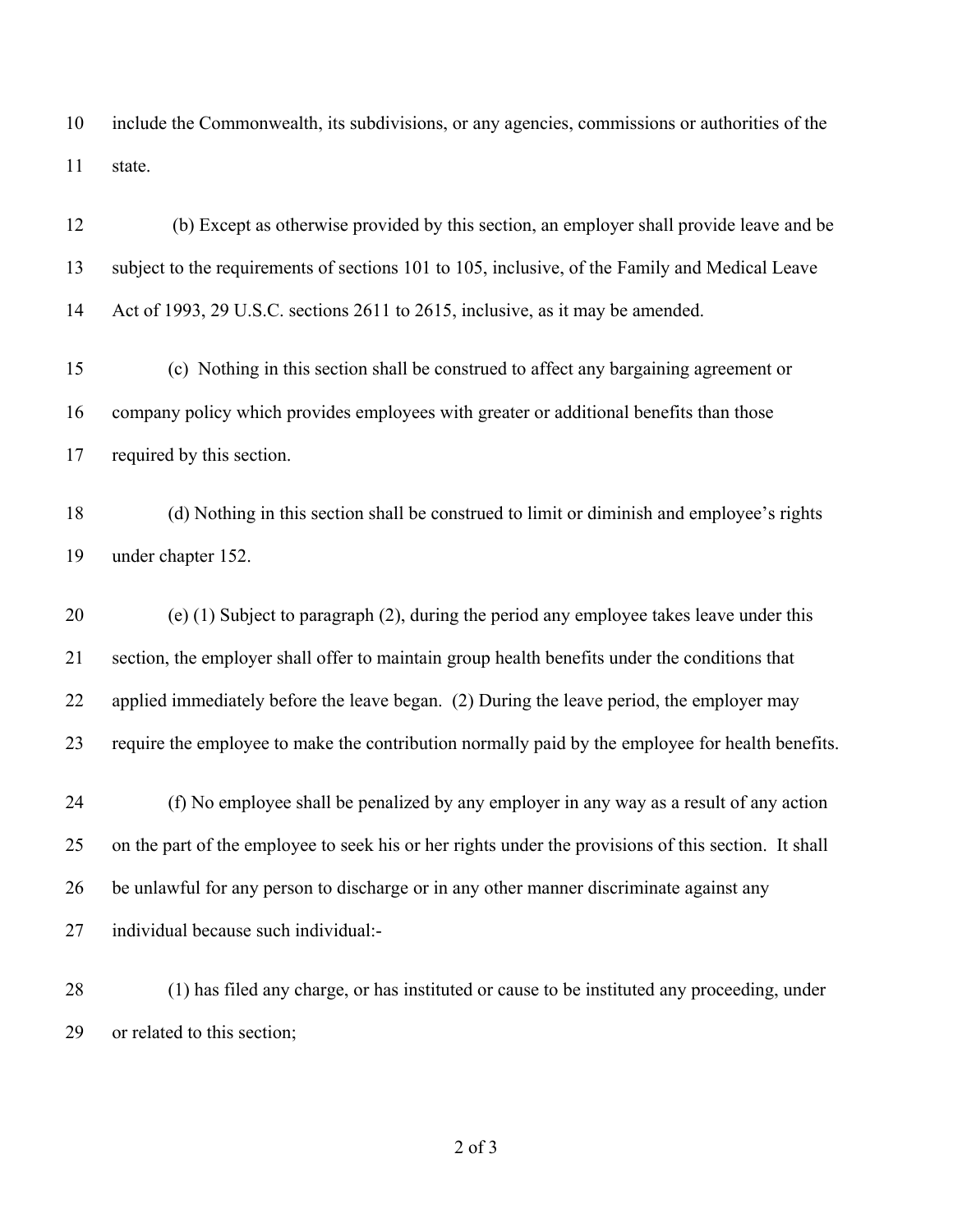include the Commonwealth, its subdivisions, or any agencies, commissions or authorities of the state.

 (b) Except as otherwise provided by this section, an employer shall provide leave and be subject to the requirements of sections 101 to 105, inclusive, of the Family and Medical Leave Act of 1993, 29 U.S.C. sections 2611 to 2615, inclusive, as it may be amended.

 (c) Nothing in this section shall be construed to affect any bargaining agreement or company policy which provides employees with greater or additional benefits than those required by this section.

 (d) Nothing in this section shall be construed to limit or diminish and employee's rights under chapter 152.

 (e) (1) Subject to paragraph (2), during the period any employee takes leave under this section, the employer shall offer to maintain group health benefits under the conditions that applied immediately before the leave began. (2) During the leave period, the employer may require the employee to make the contribution normally paid by the employee for health benefits.

 (f) No employee shall be penalized by any employer in any way as a result of any action on the part of the employee to seek his or her rights under the provisions of this section. It shall be unlawful for any person to discharge or in any other manner discriminate against any individual because such individual:-

 (1) has filed any charge, or has instituted or cause to be instituted any proceeding, under or related to this section;